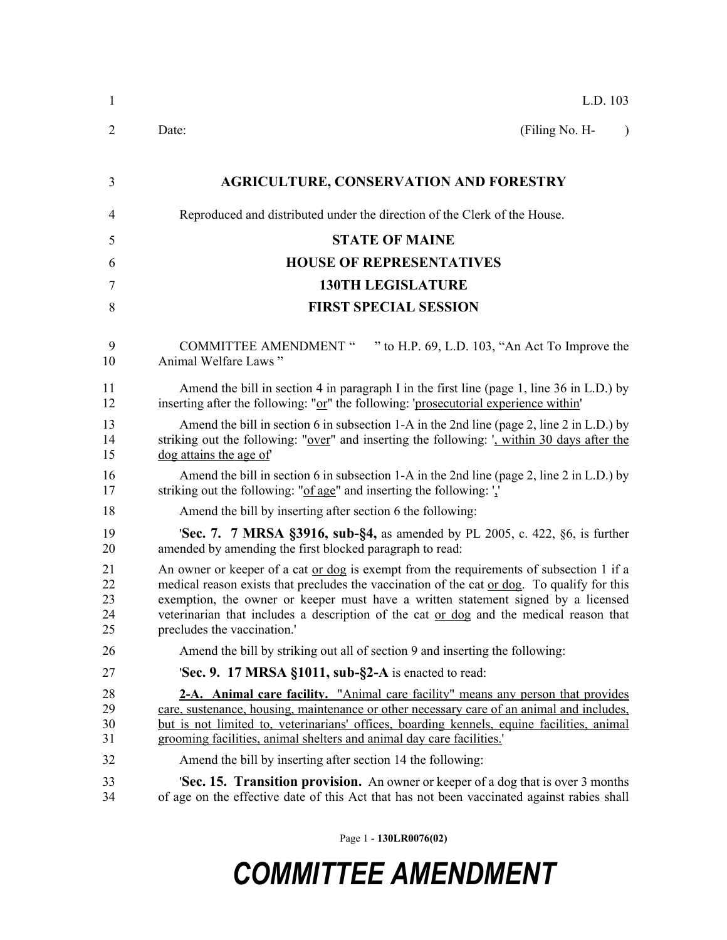| 1                          | L.D. 103                                                                                                                                                                                                                                                                                                                                                                                                           |
|----------------------------|--------------------------------------------------------------------------------------------------------------------------------------------------------------------------------------------------------------------------------------------------------------------------------------------------------------------------------------------------------------------------------------------------------------------|
| 2                          | (Filing No. H-<br>Date:<br>$\lambda$                                                                                                                                                                                                                                                                                                                                                                               |
| 3                          | <b>AGRICULTURE, CONSERVATION AND FORESTRY</b>                                                                                                                                                                                                                                                                                                                                                                      |
| 4                          | Reproduced and distributed under the direction of the Clerk of the House.                                                                                                                                                                                                                                                                                                                                          |
| 5                          | <b>STATE OF MAINE</b>                                                                                                                                                                                                                                                                                                                                                                                              |
| 6                          | <b>HOUSE OF REPRESENTATIVES</b>                                                                                                                                                                                                                                                                                                                                                                                    |
| 7                          | <b>130TH LEGISLATURE</b>                                                                                                                                                                                                                                                                                                                                                                                           |
| 8                          | <b>FIRST SPECIAL SESSION</b>                                                                                                                                                                                                                                                                                                                                                                                       |
| 9<br>10                    | " to H.P. 69, L.D. 103, "An Act To Improve the<br><b>COMMITTEE AMENDMENT "</b><br>Animal Welfare Laws"                                                                                                                                                                                                                                                                                                             |
| 11<br>12                   | Amend the bill in section 4 in paragraph I in the first line (page 1, line 36 in L.D.) by<br>inserting after the following: "or" the following: 'prosecutorial experience within'                                                                                                                                                                                                                                  |
| 13<br>14<br>15             | Amend the bill in section 6 in subsection 1-A in the 2nd line (page 2, line 2 in L.D.) by<br>striking out the following: "over" and inserting the following: ', within 30 days after the<br>dog attains the age of                                                                                                                                                                                                 |
| 16<br>17                   | Amend the bill in section 6 in subsection 1-A in the 2nd line (page 2, line 2 in L.D.) by<br>striking out the following: "of age" and inserting the following: "                                                                                                                                                                                                                                                   |
| 18                         | Amend the bill by inserting after section 6 the following:                                                                                                                                                                                                                                                                                                                                                         |
| 19<br>20                   | <b>Sec. 7. 7 MRSA §3916, sub-§4, as amended by PL 2005, c. 422, §6, is further</b><br>amended by amending the first blocked paragraph to read:                                                                                                                                                                                                                                                                     |
| 21<br>22<br>23<br>24<br>25 | An owner or keeper of a cat <u>or dog</u> is exempt from the requirements of subsection 1 if a<br>medical reason exists that precludes the vaccination of the cat or dog. To qualify for this<br>exemption, the owner or keeper must have a written statement signed by a licensed<br>veterinarian that includes a description of the cat <u>or dog</u> and the medical reason that<br>precludes the vaccination.' |
| 26                         | Amend the bill by striking out all of section 9 and inserting the following:                                                                                                                                                                                                                                                                                                                                       |
| 27                         | <b>Sec. 9. 17 MRSA §1011, sub-§2-A</b> is enacted to read:                                                                                                                                                                                                                                                                                                                                                         |
| 28<br>29<br>30<br>31       | 2-A. Animal care facility. "Animal care facility" means any person that provides<br>care, sustenance, housing, maintenance or other necessary care of an animal and includes,<br>but is not limited to, veterinarians' offices, boarding kennels, equine facilities, animal<br>grooming facilities, animal shelters and animal day care facilities.                                                                |
| 32                         | Amend the bill by inserting after section 14 the following:                                                                                                                                                                                                                                                                                                                                                        |
| 33<br>34                   | 'Sec. 15. Transition provision. An owner or keeper of a dog that is over 3 months<br>of age on the effective date of this Act that has not been vaccinated against rabies shall                                                                                                                                                                                                                                    |

Page 1 - **130LR0076(02)**

## *COMMITTEE AMENDMENT*